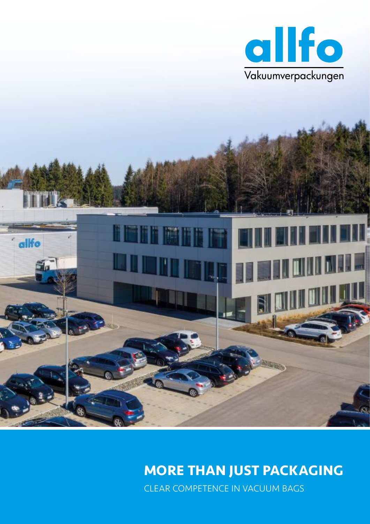



# **MORE THAN JUST PACKAGING**

CLEAR COMPETENCE IN VACUUM BAGS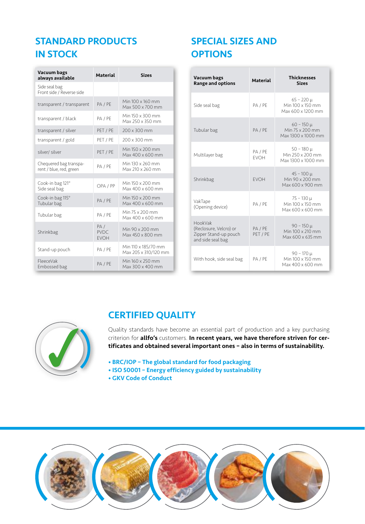# STANDARD PRODUCTS IN STOCK

| <b>Vacuum bags</b><br>always available            | <b>Material</b>                   | <b>Sizes</b>                                |
|---------------------------------------------------|-----------------------------------|---------------------------------------------|
| Side seal bag<br>Front side / Reverse side        |                                   |                                             |
| transparent / transparent                         | PA / PE                           | Min 100 x 160 mm<br>Max 500 x 700 mm        |
| transparent / black                               | PA / PF                           | Min 150 x 300 mm<br>Max 250 x 350 mm        |
| transparent / silver                              | PET / PE                          | 200 x 300 mm                                |
| transparent / gold                                | PET / PE                          | 200 x 300 mm                                |
| silver/ silver                                    | PET / PE                          | Min 150 x 200 mm<br>Max 400 x 600 mm        |
| Chequered bag transpa-<br>rent / blue, red, green | PA / PE                           | Min 130 x 260 mm<br>Max 210 x 260 mm        |
| Cook-in bag 121°<br>Side seal bag                 | OPA / PP                          | Min 150 x 200 mm<br>Max 400 x 600 mm        |
| Cook-in bag 115°<br>Tubular bag                   | PA / PE                           | Min 150 x 200 mm<br>Max 400 x 600 mm        |
| Tubular bag                                       | PA / PE                           | Min 75 x 200 mm<br>Max 400 x 600 mm         |
| Shrinkbag                                         | PA/<br><b>PVDC</b><br><b>FVOH</b> | Min 90 x 200 mm<br>Max 450 x 800 mm         |
| Stand-up pouch                                    | PA / PE                           | Min 110 x 185/70 mm<br>Max 205 x 310/120 mm |
| FleeceVak<br>Embossed bag                         | PA / PE                           | Min 160 x 250 mm<br>Max 300 x 400 mm        |

### SPECIAL SIZES AND **OPTIONS**

| Vacuum bags<br><b>Range and options</b>                                         | <b>Material</b>        | <b>Thicknesses</b><br><b>Sizes</b>                       |
|---------------------------------------------------------------------------------|------------------------|----------------------------------------------------------|
| Side seal bag                                                                   | PA / PF                | $65 - 220 \mu$<br>Min 100 x 150 mm<br>Max 600 x 1200 mm  |
| Tubular bag                                                                     | PA / PE                | $60 - 150 \mu$<br>Min 75 x 200 mm<br>Max 1300 x 1000 mm  |
| Multilayer bag                                                                  | PA / PE<br><b>FVOH</b> | $50 - 180 \mu$<br>Min 250 x 200 mm<br>Max 1300 x 1000 mm |
| Shrinkbag                                                                       | <b>FVOH</b>            | $45 - 100 \mu$<br>Min 90 x 200 mm<br>Max 600 x 900 mm    |
| VakTape<br>(Opening device)                                                     | PA / PE                | $75 - 130 \mu$<br>Min 100 x 150 mm<br>Max 600 x 600 mm   |
| HookVak<br>(Reclosure, Velcro) or<br>Zipper Stand-up pouch<br>and side seal bag | PA / PE<br>PET / PE    | $90 - 150 \mu$<br>Min 100 x 210 mm<br>Max 600 x 635 mm   |
| With hook, side seal bag                                                        | PA / PE                | $90 - 170 \mu$<br>Min 100 x 150 mm<br>Max 400 x 600 mm   |



### CERTIFIED QUALITY

Quality standards have become an essential part of production and a key purchasing criterion for allfo's customers. In recent years, we have therefore striven for certificates and obtained several important ones – also in terms of sustainability.

- BRC/IOP The global standard for food packaging
- ISO 50001 Energy efficiency guided by sustainability
- GKV Code of Conduct

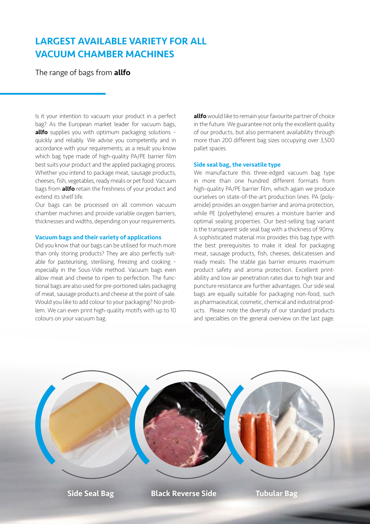### LARGEST AVAILABLE VARIETY FOR ALL VACUUM CHAMBER MACHINES

The range of bags from **allfo** 

Is it your intention to vacuum your product in a perfect bag? As the European market leader for vacuum bags, allfo supplies you with optimum packaging solutions quickly and reliably. We advise you competently and in accordance with your requirements; as a result you know which bag type made of high-quality PA/PE barrier film best suits your product and the applied packaging process. Whether you intend to package meat, sausage products, cheeses, fish, vegetables, ready meals or pet food: Vacuum bags from **allfo** retain the freshness of your product and extend its shelf life.

Our bags can be processed on all common vacuum chamber machines and provide variable oxygen barriers, thicknesses and widths, depending on your requirements.

#### Vacuum bags and their variety of applications

Did you know that our bags can be utilised for much more than only storing products? They are also perfectly suitable for pasteurising, sterilising, freezing and cooking – especially in the Sous-Vide method. Vacuum bags even allow meat and cheese to ripen to perfection. The functional bags are also used for pre-portioned sales packaging of meat, sausage products and cheese at the point of sale. Would you like to add colour to your packaging? No problem. We can even print high-quality motifs with up to 10 colours on your vacuum bag.

allfo would like to remain your favourite partner of choice in the future. We guarantee not only the excellent quality of our products, but also permanent availability through more than 200 different bag sizes occupying over 3,500 pallet spaces.

#### Side seal bag, the versatile type

We manufacture this three-edged vacuum bag type in more than one hundred different formats from high-quality PA/PE barrier film, which again we produce ourselves on state-of-the-art production lines. PA (polyamide) provides an oxygen barrier and aroma protection, while PE (polyethylene) ensures a moisture barrier and optimal sealing properties. Our best-selling bag variant is the transparent side seal bag with a thickness of 90my. A sophisticated material mix provides this bag type with the best prerequisites to make it ideal for packaging meat, sausage products, fish, cheeses, delicatessen and ready meals. The stable gas barrier ensures maximum product safety and aroma protection. Excellent printability and low air penetration rates due to high tear and puncture resistance are further advantages. Our side seal bags are equally suitable for packaging non-food, such as pharmaceutical, cosmetic, chemical and industrial products. Please note the diversity of our standard products and specialties on the general overview on the last page.

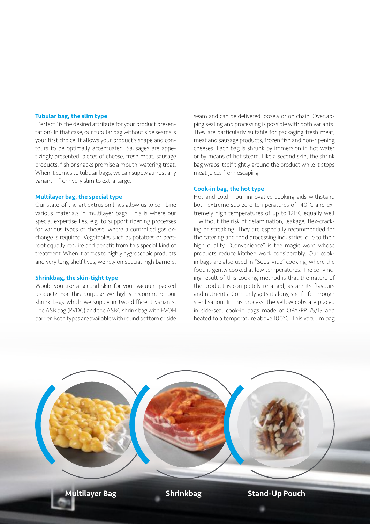#### Tubular bag, the slim type

"Perfect" is the desired attribute for your product presentation? In that case, our tubular bag without side seams is your first choice. It allows your product's shape and contours to be optimally accentuated. Sausages are appetizingly presented, pieces of cheese, fresh meat, sausage products, fish or snacks promise a mouth-watering treat. When it comes to tubular bags, we can supply almost any variant – from very slim to extra-large.

#### Multilayer bag, the special type

Our state-of-the-art extrusion lines allow us to combine various materials in multilayer bags. This is where our special expertise lies, e.g. to support ripening processes for various types of cheese, where a controlled gas exchange is required. Vegetables such as potatoes or beetroot equally require and benefit from this special kind of treatment. When it comes to highly hygroscopic products and very long shelf lives, we rely on special high barriers.

#### Shrinkbag, the skin-tight type

Would you like a second skin for your vacuum-packed product? For this purpose we highly recommend our shrink bags which we supply in two different variants. The ASB bag (PVDC) and the ASBC shrink bag with EVOH barrier. Both types are available with round bottom or side seam and can be delivered loosely or on chain. Overlapping sealing and processing is possible with both variants. They are particularly suitable for packaging fresh meat, meat and sausage products, frozen fish and non-ripening cheeses. Each bag is shrunk by immersion in hot water or by means of hot steam. Like a second skin, the shrink bag wraps itself tightly around the product while it stops meat juices from escaping.

#### Cook-in bag, the hot type

Hot and cold – our innovative cooking aids withstand both extreme sub-zero temperatures of -40°C and extremely high temperatures of up to 121°C equally well – without the risk of delamination, leakage, flex-cracking or streaking. They are especially recommended for the catering and food processing industries, due to their high quality. "Convenience" is the magic word whose products reduce kitchen work considerably. Our cookin bags are also used in "Sous-Vide" cooking, where the food is gently cooked at low temperatures. The convincing result of this cooking method is that the nature of the product is completely retained, as are its flavours and nutrients. Corn only gets its long shelf life through sterilisation. In this process, the yellow cobs are placed in side-seal cook-in bags made of OPA/PP 75/15 and heated to a temperature above 100°C. This vacuum bag

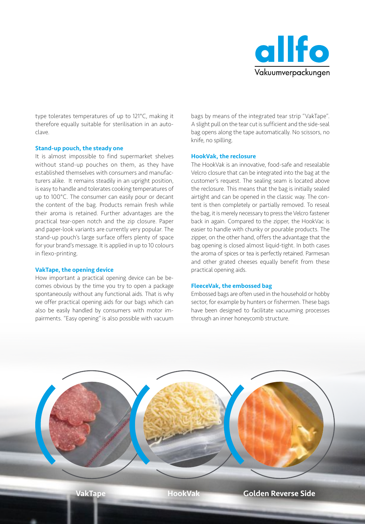

type tolerates temperatures of up to 121°C, making it therefore equally suitable for sterilisation in an autoclave.

#### Stand-up pouch, the steady one

It is almost impossible to find supermarket shelves without stand-up pouches on them, as they have established themselves with consumers and manufacturers alike. It remains steadily in an upright position, is easy to handle and tolerates cooking temperatures of up to 100°C. The consumer can easily pour or decant the content of the bag. Products remain fresh while their aroma is retained. Further advantages are the practical tear-open notch and the zip closure. Paper and paper-look variants are currently very popular. The stand-up pouch's large surface offers plenty of space for your brand's message. It is applied in up to 10 colours in flexo-printing.

#### VakTape, the opening device

How important a practical opening device can be becomes obvious by the time you try to open a package spontaneously without any functional aids. That is why we offer practical opening aids for our bags which can also be easily handled by consumers with motor impairments. "Easy opening" is also possible with vacuum bags by means of the integrated tear strip "VakTape". A slight pull on the tear cut is sufficient and the side-seal bag opens along the tape automatically. No scissors, no knife, no spilling.

#### HookVak, the reclosure

The HookVak is an innovative, food-safe and resealable Velcro closure that can be integrated into the bag at the customer's request. The sealing seam is located above the reclosure. This means that the bag is initially sealed airtight and can be opened in the classic way. The content is then completely or partially removed. To reseal the bag, it is merely necessary to press the Velcro fastener back in again. Compared to the zipper, the HookVac is easier to handle with chunky or pourable products. The zipper, on the other hand, offers the advantage that the bag opening is closed almost liquid-tight. In both cases the aroma of spices or tea is perfectly retained. Parmesan and other grated cheeses equally benefit from these practical opening aids.

#### FleeceVak, the embossed bag

Embossed bags are often used in the household or hobby sector, for example by hunters or fishermen. These bags have been designed to facilitate vacuuming processes through an inner honeycomb structure.